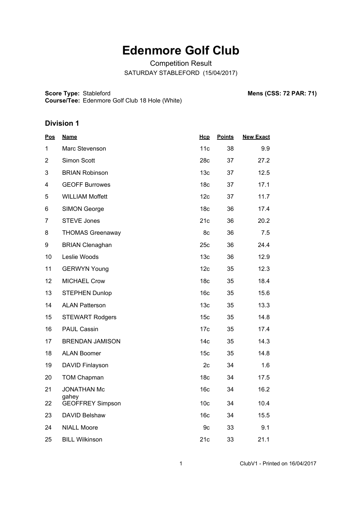# **Edenmore Golf Club**

Competition Result SATURDAY STABLEFORD (15/04/2017)

**Score Type: Course/Tee:** Stableford **Mens (CSS: 72 PAR: 71)** Edenmore Golf Club 18 Hole (White)

| <u>Pos</u>              | <b>Name</b>                      | <b>Hcp</b>      | <b>Points</b> | <b>New Exact</b> |
|-------------------------|----------------------------------|-----------------|---------------|------------------|
| 1                       | Marc Stevenson                   | 11c             | 38            | 9.9              |
| $\overline{2}$          | Simon Scott                      | 28c             | 37            | 27.2             |
| 3                       | <b>BRIAN Robinson</b>            | 13 <sub>c</sub> | 37            | 12.5             |
| $\overline{\mathbf{4}}$ | <b>GEOFF Burrowes</b>            | 18 <sub>c</sub> | 37            | 17.1             |
| 5                       | <b>WILLIAM Moffett</b>           | 12c             | 37            | 11.7             |
| 6                       | <b>SIMON George</b>              | 18 <sub>c</sub> | 36            | 17.4             |
| $\overline{7}$          | <b>STEVE Jones</b>               | 21c             | 36            | 20.2             |
| 8                       | <b>THOMAS Greenaway</b>          | 8c              | 36            | 7.5              |
| 9                       | <b>BRIAN Clenaghan</b>           | 25c             | 36            | 24.4             |
| 10                      | Leslie Woods                     | 13 <sub>c</sub> | 36            | 12.9             |
| 11                      | <b>GERWYN Young</b>              | 12c             | 35            | 12.3             |
| 12                      | <b>MICHAEL Crow</b>              | 18 <sub>c</sub> | 35            | 18.4             |
| 13                      | <b>STEPHEN Dunlop</b>            | 16 <sub>c</sub> | 35            | 15.6             |
| 14                      | <b>ALAN Patterson</b>            | 13 <sub>c</sub> | 35            | 13.3             |
| 15                      | <b>STEWART Rodgers</b>           | 15 <sub>c</sub> | 35            | 14.8             |
| 16                      | <b>PAUL Cassin</b>               | 17c             | 35            | 17.4             |
| 17                      | <b>BRENDAN JAMISON</b>           | 14 <sub>c</sub> | 35            | 14.3             |
| 18                      | <b>ALAN Boomer</b>               | 15 <sub>c</sub> | 35            | 14.8             |
| 19                      | DAVID Finlayson                  | 2c              | 34            | 1.6              |
| 20                      | <b>TOM Chapman</b>               | 18 <sub>c</sub> | 34            | 17.5             |
| 21                      | <b>JONATHAN Mc</b>               | 16 <sub>c</sub> | 34            | 16.2             |
| 22                      | gahey<br><b>GEOFFREY Simpson</b> | 10 <sub>c</sub> | 34            | 10.4             |
| 23                      | DAVID Belshaw                    | 16 <sub>c</sub> | 34            | 15.5             |
| 24                      | <b>NIALL Moore</b>               | 9c              | 33            | 9.1              |
| 25                      | <b>BILL Wilkinson</b>            | 21c             | 33            | 21.1             |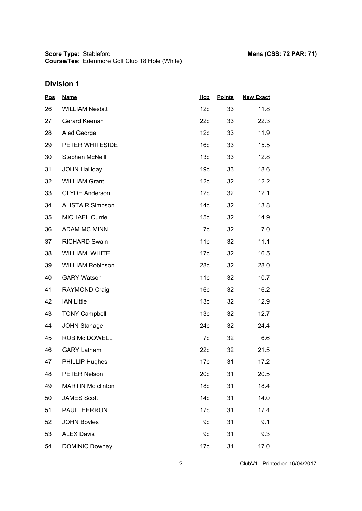**Score Type: Course/Tee:** Stableford **Mens (CSS: 72 PAR: 71)** Edenmore Golf Club 18 Hole (White)

| <b>Pos</b> | <b>Name</b>              | Hcp             | <b>Points</b> | <b>New Exact</b> |
|------------|--------------------------|-----------------|---------------|------------------|
| 26         | <b>WILLIAM Nesbitt</b>   | 12c             | 33            | 11.8             |
| 27         | Gerard Keenan            | 22c             | 33            | 22.3             |
| 28         | Aled George              | 12 <sub>c</sub> | 33            | 11.9             |
| 29         | PETER WHITESIDE          | 16 <sub>c</sub> | 33            | 15.5             |
| 30         | Stephen McNeill          | 13 <sub>c</sub> | 33            | 12.8             |
| 31         | <b>JOHN Halliday</b>     | 19 <sub>c</sub> | 33            | 18.6             |
| 32         | <b>WILLIAM Grant</b>     | 12 <sub>c</sub> | 32            | 12.2             |
| 33         | <b>CLYDE Anderson</b>    | 12 <sub>c</sub> | 32            | 12.1             |
| 34         | <b>ALISTAIR Simpson</b>  | 14 <sub>c</sub> | 32            | 13.8             |
| 35         | <b>MICHAEL Currie</b>    | 15 <sub>c</sub> | 32            | 14.9             |
| 36         | <b>ADAM MC MINN</b>      | 7c              | 32            | 7.0              |
| 37         | <b>RICHARD Swain</b>     | 11c             | 32            | 11.1             |
| 38         | WILLIAM WHITE            | 17 <sub>c</sub> | 32            | 16.5             |
| 39         | <b>WILLIAM Robinson</b>  | 28c             | 32            | 28.0             |
| 40         | <b>GARY Watson</b>       | 11c             | 32            | 10.7             |
| 41         | <b>RAYMOND Craig</b>     | 16 <sub>c</sub> | 32            | 16.2             |
| 42         | <b>IAN Little</b>        | 13 <sub>c</sub> | 32            | 12.9             |
| 43         | <b>TONY Campbell</b>     | 13 <sub>c</sub> | 32            | 12.7             |
| 44         | <b>JOHN Stanage</b>      | 24c             | 32            | 24.4             |
| 45         | ROB Mc DOWELL            | 7c              | 32            | 6.6              |
| 46         | <b>GARY Latham</b>       | 22c             | 32            | 21.5             |
| 47         | PHILLIP Hughes           | 17 <sub>c</sub> | 31            | 17.2             |
| 48         | PETER Nelson             | 20c             | 31            | 20.5             |
| 49         | <b>MARTIN Mc clinton</b> | 18 <sub>c</sub> | 31            | 18.4             |
| 50         | <b>JAMES Scott</b>       | 14 <sub>c</sub> | 31            | 14.0             |
| 51         | PAUL HERRON              | 17 <sub>c</sub> | 31            | 17.4             |
| 52         | <b>JOHN Boyles</b>       | 9c              | 31            | 9.1              |
| 53         | <b>ALEX Davis</b>        | 9c              | 31            | 9.3              |
| 54         | <b>DOMINIC Downey</b>    | 17 <sub>c</sub> | 31            | 17.0             |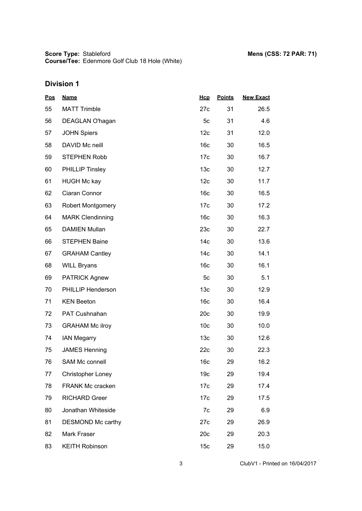| <b>Pos</b> | <b>Name</b>              | Hcp             | <b>Points</b> | <b>New Exact</b> |
|------------|--------------------------|-----------------|---------------|------------------|
| 55         | <b>MATT Trimble</b>      | 27c             | 31            | 26.5             |
| 56         | DEAGLAN O'hagan          | 5 <sub>c</sub>  | 31            | 4.6              |
| 57         | <b>JOHN Spiers</b>       | 12 <sub>c</sub> | 31            | 12.0             |
| 58         | DAVID Mc neill           | 16 <sub>c</sub> | 30            | 16.5             |
| 59         | <b>STEPHEN Robb</b>      | 17 <sub>c</sub> | 30            | 16.7             |
| 60         | <b>PHILLIP Tinsley</b>   | 13 <sub>c</sub> | 30            | 12.7             |
| 61         | <b>HUGH Mc kay</b>       | 12 <sub>c</sub> | 30            | 11.7             |
| 62         | Ciaran Connor            | 16 <sub>c</sub> | 30            | 16.5             |
| 63         | <b>Robert Montgomery</b> | 17 <sub>c</sub> | 30            | 17.2             |
| 64         | <b>MARK Clendinning</b>  | 16 <sub>c</sub> | 30            | 16.3             |
| 65         | <b>DAMIEN Mullan</b>     | 23c             | 30            | 22.7             |
| 66         | <b>STEPHEN Baine</b>     | 14 <sub>c</sub> | 30            | 13.6             |
| 67         | <b>GRAHAM Cantley</b>    | 14 <sub>c</sub> | 30            | 14.1             |
| 68         | <b>WILL Bryans</b>       | 16 <sub>c</sub> | 30            | 16.1             |
| 69         | <b>PATRICK Agnew</b>     | 5 <sub>c</sub>  | 30            | 5.1              |
| 70         | PHILLIP Henderson        | 13 <sub>c</sub> | 30            | 12.9             |
| 71         | <b>KEN Beeton</b>        | 16 <sub>c</sub> | 30            | 16.4             |
| 72         | PAT Cushnahan            | 20c             | 30            | 19.9             |
| 73         | <b>GRAHAM Mc ilroy</b>   | 10 <sub>c</sub> | 30            | 10.0             |
| 74         | <b>IAN Megarry</b>       | 13 <sub>c</sub> | 30            | 12.6             |
| 75         | <b>JAMES Henning</b>     | 22c             | 30            | 22.3             |
| 76         | <b>SAM Mc connell</b>    | 16 <sub>c</sub> | 29            | 16.2             |
| 77         | <b>Christopher Loney</b> | 19 <sub>c</sub> | 29            | 19.4             |
| 78         | <b>FRANK Mc cracken</b>  | 17 <sub>c</sub> | 29            | 17.4             |
| 79         | <b>RICHARD Greer</b>     | 17 <sub>c</sub> | 29            | 17.5             |
| 80         | Jonathan Whiteside       | 7c              | 29            | 6.9              |
| 81         | DESMOND Mc carthy        | 27c             | 29            | 26.9             |
| 82         | Mark Fraser              | 20c             | 29            | 20.3             |
| 83         | <b>KEITH Robinson</b>    | 15 <sub>c</sub> | 29            | 15.0             |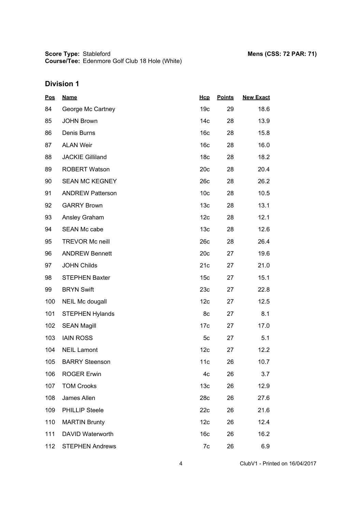**Score Type: Course/Tee:** Stableford **Mens (CSS: 72 PAR: 71)** Edenmore Golf Club 18 Hole (White)

| <b>Pos</b> | <b>Name</b>             | Hcp             | <b>Points</b> | <b>New Exact</b> |
|------------|-------------------------|-----------------|---------------|------------------|
| 84         | George Mc Cartney       | 19 <sub>c</sub> | 29            | 18.6             |
| 85         | <b>JOHN Brown</b>       | 14 <sub>c</sub> | 28            | 13.9             |
| 86         | Denis Burns             | 16 <sub>c</sub> | 28            | 15.8             |
| 87         | <b>ALAN Weir</b>        | 16 <sub>c</sub> | 28            | 16.0             |
| 88         | <b>JACKIE Gilliland</b> | 18 <sub>c</sub> | 28            | 18.2             |
| 89         | <b>ROBERT Watson</b>    | 20c             | 28            | 20.4             |
| 90         | <b>SEAN MC KEGNEY</b>   | 26c             | 28            | 26.2             |
| 91         | <b>ANDREW Patterson</b> | 10 <sub>c</sub> | 28            | 10.5             |
| 92         | <b>GARRY Brown</b>      | 13 <sub>c</sub> | 28            | 13.1             |
| 93         | Ansley Graham           | 12 <sub>c</sub> | 28            | 12.1             |
| 94         | <b>SEAN Mc cabe</b>     | 13 <sub>c</sub> | 28            | 12.6             |
| 95         | <b>TREVOR Mc neill</b>  | 26c             | 28            | 26.4             |
| 96         | <b>ANDREW Bennett</b>   | 20c             | 27            | 19.6             |
| 97         | <b>JOHN Childs</b>      | 21c             | 27            | 21.0             |
| 98         | <b>STEPHEN Baxter</b>   | 15 <sub>c</sub> | 27            | 15.1             |
| 99         | <b>BRYN Swift</b>       | 23c             | 27            | 22.8             |
| 100        | NEIL Mc dougall         | 12c             | 27            | 12.5             |
| 101        | <b>STEPHEN Hylands</b>  | 8c              | 27            | 8.1              |
| 102        | <b>SEAN Magill</b>      | 17 <sub>c</sub> | 27            | 17.0             |
| 103        | <b>IAIN ROSS</b>        | 5c              | 27            | 5.1              |
| 104        | <b>NEIL Lamont</b>      | 12 <sub>c</sub> | 27            | 12.2             |
| 105        | <b>BARRY Steenson</b>   | 11c             | 26            | 10.7             |
| 106        | <b>ROGER Erwin</b>      | 4c              | 26            | 3.7              |
| 107        | <b>TOM Crooks</b>       | 13 <sub>c</sub> | 26            | 12.9             |
| 108        | James Allen             | 28c             | 26            | 27.6             |
| 109        | <b>PHILLIP Steele</b>   | 22c             | 26            | 21.6             |
| 110        | <b>MARTIN Brunty</b>    | 12c             | 26            | 12.4             |
| 111        | DAVID Waterworth        | 16 <sub>c</sub> | 26            | 16.2             |
| 112        | <b>STEPHEN Andrews</b>  | 7c              | 26            | 6.9              |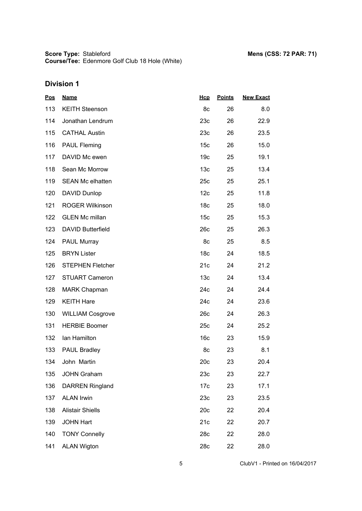| <u>Pos</u> | <b>Name</b>              | Hcp             | <b>Points</b> | <b>New Exact</b> |
|------------|--------------------------|-----------------|---------------|------------------|
| 113        | <b>KEITH Steenson</b>    | 8c              | 26            | 8.0              |
| 114        | Jonathan Lendrum         | 23c             | 26            | 22.9             |
| 115        | <b>CATHAL Austin</b>     | 23c             | 26            | 23.5             |
| 116        | <b>PAUL Fleming</b>      | 15 <sub>c</sub> | 26            | 15.0             |
| 117        | DAVID Mc ewen            | 19 <sub>c</sub> | 25            | 19.1             |
| 118        | Sean Mc Morrow           | 13 <sub>c</sub> | 25            | 13.4             |
| 119        | <b>SEAN Mc elhatten</b>  | 25c             | 25            | 25.1             |
| 120        | DAVID Dunlop             | 12 <sub>c</sub> | 25            | 11.8             |
| 121        | <b>ROGER Wilkinson</b>   | 18 <sub>c</sub> | 25            | 18.0             |
| 122        | <b>GLEN Mc millan</b>    | 15 <sub>c</sub> | 25            | 15.3             |
| 123        | <b>DAVID Butterfield</b> | 26c             | 25            | 26.3             |
| 124        | PAUL Murray              | 8c              | 25            | 8.5              |
| 125        | <b>BRYN Lister</b>       | 18 <sub>c</sub> | 24            | 18.5             |
| 126        | <b>STEPHEN Fletcher</b>  | 21c             | 24            | 21.2             |
| 127        | <b>STUART Cameron</b>    | 13 <sub>c</sub> | 24            | 13.4             |
| 128        | <b>MARK Chapman</b>      | 24c             | 24            | 24.4             |
| 129        | <b>KEITH Hare</b>        | 24c             | 24            | 23.6             |
| 130        | <b>WILLIAM Cosgrove</b>  | 26c             | 24            | 26.3             |
| 131        | <b>HERBIE Boomer</b>     | 25c             | 24            | 25.2             |
| 132        | Ian Hamilton             | 16 <sub>c</sub> | 23            | 15.9             |
| 133        | <b>PAUL Bradley</b>      | 8c              | 23            | 8.1              |
| 134        | John Martin              | 20c             | 23            | 20.4             |
| 135        | <b>JOHN Graham</b>       | 23c             | 23            | 22.7             |
| 136        | <b>DARREN Ringland</b>   | 17 <sub>c</sub> | 23            | 17.1             |
| 137        | <b>ALAN Irwin</b>        | 23c             | 23            | 23.5             |
| 138        | <b>Alistair Shiells</b>  | 20c             | 22            | 20.4             |
| 139        | <b>JOHN Hart</b>         | 21c             | 22            | 20.7             |
| 140        | <b>TONY Connelly</b>     | 28c             | 22            | 28.0             |
| 141        | <b>ALAN Wigton</b>       | 28c             | 22            | 28.0             |